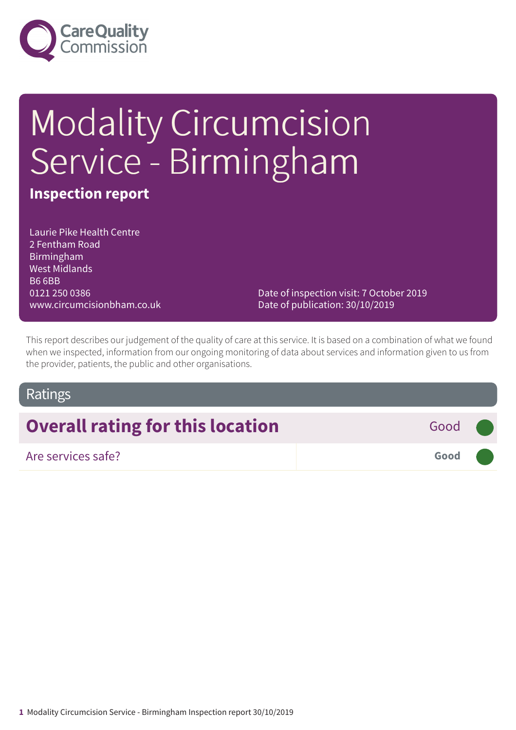

# Modality Circumcision Service - Birmingham

## **Inspection report**

Laurie Pike Health Centre 2 Fentham Road Birmingham West Midlands B6 6BB 0121 250 0386 www.circumcisionbham.co.uk

Date of inspection visit: 7 October 2019 Date of publication: 30/10/2019

This report describes our judgement of the quality of care at this service. It is based on a combination of what we found when we inspected, information from our ongoing monitoring of data about services and information given to us from the provider, patients, the public and other organisations.

## Ratings

# **Overall rating for this location** Good **Good**

## Are services safe? **Good –––**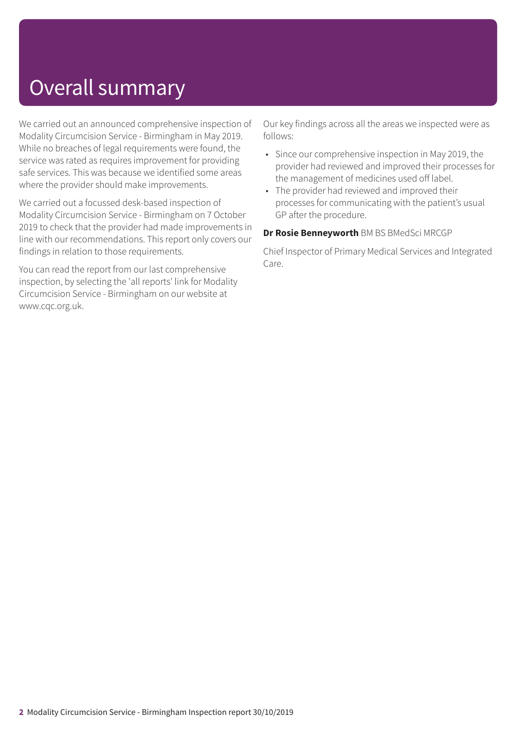# Overall summary

We carried out an announced comprehensive inspection of Modality Circumcision Service - Birmingham in May 2019. While no breaches of legal requirements were found, the service was rated as requires improvement for providing safe services. This was because we identified some areas where the provider should make improvements.

We carried out a focussed desk-based inspection of Modality Circumcision Service - Birmingham on 7 October 2019 to check that the provider had made improvements in line with our recommendations. This report only covers our findings in relation to those requirements.

You can read the report from our last comprehensive inspection, by selecting the 'all reports' link for Modality Circumcision Service - Birmingham on our website at www.cqc.org.uk.

Our key findings across all the areas we inspected were as follows:

- Since our comprehensive inspection in May 2019, the provider had reviewed and improved their processes for the management of medicines used off label.
- The provider had reviewed and improved their processes for communicating with the patient's usual GP after the procedure.

#### **Dr Rosie Benneyworth** BM BS BMedSci MRCGP

Chief Inspector of Primary Medical Services and Integrated Care.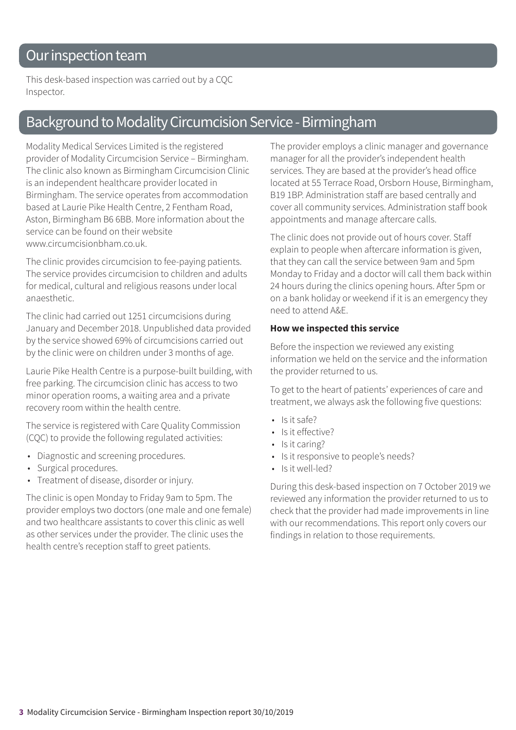# Our inspection team

This desk-based inspection was carried out by a CQC Inspector.

# Background to Modality Circumcision Service - Birmingham

Modality Medical Services Limited is the registered provider of Modality Circumcision Service – Birmingham. The clinic also known as Birmingham Circumcision Clinic is an independent healthcare provider located in Birmingham. The service operates from accommodation based at Laurie Pike Health Centre, 2 Fentham Road, Aston, Birmingham B6 6BB. More information about the service can be found on their website www.circumcisionbham.co.uk

The clinic provides circumcision to fee-paying patients. The service provides circumcision to children and adults for medical, cultural and religious reasons under local anaesthetic.

The clinic had carried out 1251 circumcisions during January and December 2018. Unpublished data provided by the service showed 69% of circumcisions carried out by the clinic were on children under 3 months of age.

Laurie Pike Health Centre is a purpose-built building, with free parking. The circumcision clinic has access to two minor operation rooms, a waiting area and a private recovery room within the health centre.

The service is registered with Care Quality Commission (CQC) to provide the following regulated activities:

- Diagnostic and screening procedures.
- Surgical procedures.
- Treatment of disease, disorder or injury.

The clinic is open Monday to Friday 9am to 5pm. The provider employs two doctors (one male and one female) and two healthcare assistants to cover this clinic as well as other services under the provider. The clinic uses the health centre's reception staff to greet patients.

The provider employs a clinic manager and governance manager for all the provider's independent health services. They are based at the provider's head office located at 55 Terrace Road, Orsborn House, Birmingham, B19 1BP. Administration staff are based centrally and cover all community services. Administration staff book appointments and manage aftercare calls.

The clinic does not provide out of hours cover. Staff explain to people when aftercare information is given, that they can call the service between 9am and 5pm Monday to Friday and a doctor will call them back within 24 hours during the clinics opening hours. After 5pm or on a bank holiday or weekend if it is an emergency they need to attend A&E.

#### **How we inspected this service**

Before the inspection we reviewed any existing information we held on the service and the information the provider returned to us.

To get to the heart of patients' experiences of care and treatment, we always ask the following five questions:

- Is it safe?
- Is it effective?
- Is it caring?
- Is it responsive to people's needs?
- Is it well-led?

During this desk-based inspection on 7 October 2019 we reviewed any information the provider returned to us to check that the provider had made improvements in line with our recommendations. This report only covers our findings in relation to those requirements.